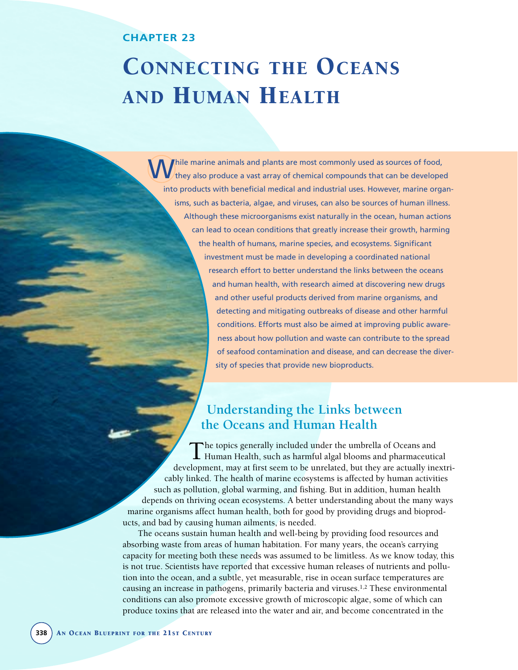# **CHAPTER 23**

# CONNECTING THE OCEANS AND HUMAN HEALTH

While marine animals and plants are most commonly used as sources of food,<br>
they also produce a vast array of chemical compounds that can be developed into products with beneficial medical and industrial uses. However, marine organisms, such as bacteria, algae, and viruses, can also be sources of human illness. Although these microorganisms exist naturally in the ocean, human actions can lead to ocean conditions that greatly increase their growth, harming the health of humans, marine species, and ecosystems. Significant investment must be made in developing a coordinated national research effort to better understand the links between the oceans and human health, with research aimed at discovering new drugs and other useful products derived from marine organisms, and detecting and mitigating outbreaks of disease and other harmful conditions. Efforts must also be aimed at improving public awareness about how pollution and waste can contribute to the spread of seafood contamination and disease, and can decrease the diversity of species that provide new bioproducts.

# **Understanding the Links between the Oceans and Human Health**

The topics generally included under the umbrella of Oceans and<br>Human Health, such as harmful algal blooms and pharmaceutical development, may at first seem to be unrelated, but they are actually inextricably linked. The health of marine ecosystems is affected by human activities such as pollution, global warming, and fishing. But in addition, human health depends on thriving ocean ecosystems. A better understanding about the many ways marine organisms affect human health, both for good by providing drugs and bioproducts, and bad by causing human ailments, is needed.

The oceans sustain human health and well-being by providing food resources and absorbing waste from areas of human habitation. For many years, the ocean's carrying capacity for meeting both these needs was assumed to be limitless. As we know today, this is not true. Scientists have reported that excessive human releases of nutrients and pollution into the ocean, and a subtle, yet measurable, rise in ocean surface temperatures are causing an increase in pathogens, primarily bacteria and viruses.1,2 These environmental conditions can also promote excessive growth of microscopic algae, some of which can produce toxins that are released into the water and air, and become concentrated in the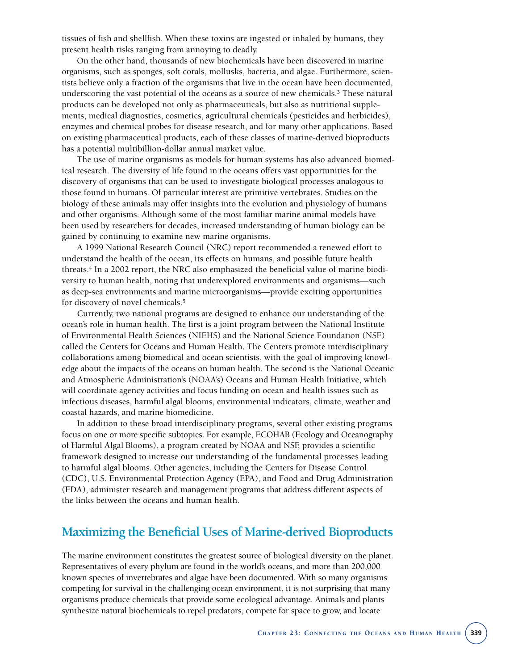tissues of fish and shellfish. When these toxins are ingested or inhaled by humans, they present health risks ranging from annoying to deadly.

On the other hand, thousands of new biochemicals have been discovered in marine organisms, such as sponges, soft corals, mollusks, bacteria, and algae. Furthermore, scientists believe only a fraction of the organisms that live in the ocean have been documented, underscoring the vast potential of the oceans as a source of new chemicals.3 These natural products can be developed not only as pharmaceuticals, but also as nutritional supplements, medical diagnostics, cosmetics, agricultural chemicals (pesticides and herbicides), enzymes and chemical probes for disease research, and for many other applications. Based on existing pharmaceutical products, each of these classes of marine-derived bioproducts has a potential multibillion-dollar annual market value.

The use of marine organisms as models for human systems has also advanced biomedical research. The diversity of life found in the oceans offers vast opportunities for the discovery of organisms that can be used to investigate biological processes analogous to those found in humans. Of particular interest are primitive vertebrates. Studies on the biology of these animals may offer insights into the evolution and physiology of humans and other organisms. Although some of the most familiar marine animal models have been used by researchers for decades, increased understanding of human biology can be gained by continuing to examine new marine organisms.

A 1999 National Research Council (NRC) report recommended a renewed effort to understand the health of the ocean, its effects on humans, and possible future health threats.4 In a 2002 report, the NRC also emphasized the beneficial value of marine biodiversity to human health, noting that underexplored environments and organisms—such as deep-sea environments and marine microorganisms—provide exciting opportunities for discovery of novel chemicals.5

Currently, two national programs are designed to enhance our understanding of the ocean's role in human health. The first is a joint program between the National Institute of Environmental Health Sciences (NIEHS) and the National Science Foundation (NSF) called the Centers for Oceans and Human Health. The Centers promote interdisciplinary collaborations among biomedical and ocean scientists, with the goal of improving knowledge about the impacts of the oceans on human health. The second is the National Oceanic and Atmospheric Administration's (NOAA's) Oceans and Human Health Initiative, which will coordinate agency activities and focus funding on ocean and health issues such as infectious diseases, harmful algal blooms, environmental indicators, climate, weather and coastal hazards, and marine biomedicine.

In addition to these broad interdisciplinary programs, several other existing programs focus on one or more specific subtopics. For example, ECOHAB (Ecology and Oceanography of Harmful Algal Blooms), a program created by NOAA and NSF, provides a scientific framework designed to increase our understanding of the fundamental processes leading to harmful algal blooms. Other agencies, including the Centers for Disease Control (CDC), U.S. Environmental Protection Agency (EPA), and Food and Drug Administration (FDA), administer research and management programs that address different aspects of the links between the oceans and human health.

# **Maximizing the Beneficial Uses of Marine-derived Bioproducts**

The marine environment constitutes the greatest source of biological diversity on the planet. Representatives of every phylum are found in the world's oceans, and more than 200,000 known species of invertebrates and algae have been documented. With so many organisms competing for survival in the challenging ocean environment, it is not surprising that many organisms produce chemicals that provide some ecological advantage. Animals and plants synthesize natural biochemicals to repel predators, compete for space to grow, and locate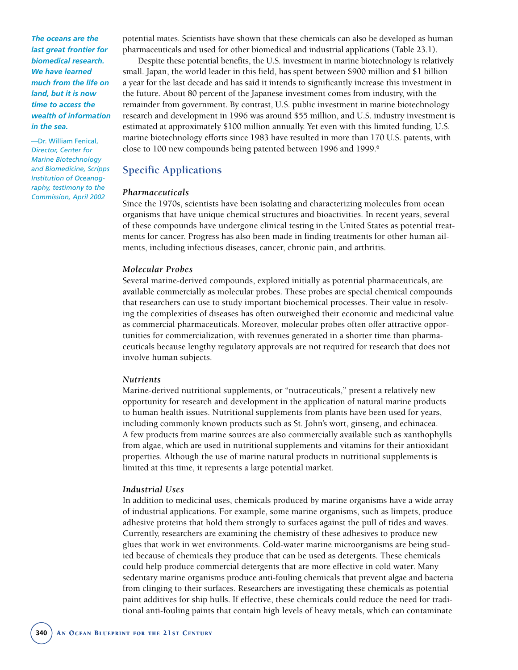*The oceans are the last great frontier for biomedical research. We have learned much from the life on land, but it is now time to access the wealth of information in the sea.* 

—Dr. William Fenical, *Director, Center for Marine Biotechnology and Biomedicine, Scripps Institution of Oceanography, testimony to the Commission, April 2002*

potential mates. Scientists have shown that these chemicals can also be developed as human pharmaceuticals and used for other biomedical and industrial applications (Table 23.1).

Despite these potential benefits, the U.S. investment in marine biotechnology is relatively small. Japan, the world leader in this field, has spent between \$900 million and \$1 billion a year for the last decade and has said it intends to significantly increase this investment in the future. About 80 percent of the Japanese investment comes from industry, with the remainder from government. By contrast, U.S. public investment in marine biotechnology research and development in 1996 was around \$55 million, and U.S. industry investment is estimated at approximately \$100 million annually. Yet even with this limited funding, U.S. marine biotechnology efforts since 1983 have resulted in more than 170 U.S. patents, with close to 100 new compounds being patented between 1996 and 1999.6

## **Specific Applications**

#### *Pharmaceuticals*

Since the 1970s, scientists have been isolating and characterizing molecules from ocean organisms that have unique chemical structures and bioactivities. In recent years, several of these compounds have undergone clinical testing in the United States as potential treatments for cancer. Progress has also been made in finding treatments for other human ailments, including infectious diseases, cancer, chronic pain, and arthritis.

#### *Molecular Probes*

Several marine-derived compounds, explored initially as potential pharmaceuticals, are available commercially as molecular probes. These probes are special chemical compounds that researchers can use to study important biochemical processes. Their value in resolving the complexities of diseases has often outweighed their economic and medicinal value as commercial pharmaceuticals. Moreover, molecular probes often offer attractive opportunities for commercialization, with revenues generated in a shorter time than pharmaceuticals because lengthy regulatory approvals are not required for research that does not involve human subjects.

#### *Nutrients*

Marine-derived nutritional supplements, or "nutraceuticals," present a relatively new opportunity for research and development in the application of natural marine products to human health issues. Nutritional supplements from plants have been used for years, including commonly known products such as St. John's wort, ginseng, and echinacea. A few products from marine sources are also commercially available such as xanthophylls from algae, which are used in nutritional supplements and vitamins for their antioxidant properties. Although the use of marine natural products in nutritional supplements is limited at this time, it represents a large potential market.

#### *Industrial Uses*

In addition to medicinal uses, chemicals produced by marine organisms have a wide array of industrial applications. For example, some marine organisms, such as limpets, produce adhesive proteins that hold them strongly to surfaces against the pull of tides and waves. Currently, researchers are examining the chemistry of these adhesives to produce new glues that work in wet environments. Cold-water marine microorganisms are being studied because of chemicals they produce that can be used as detergents. These chemicals could help produce commercial detergents that are more effective in cold water. Many sedentary marine organisms produce anti-fouling chemicals that prevent algae and bacteria from clinging to their surfaces. Researchers are investigating these chemicals as potential paint additives for ship hulls. If effective, these chemicals could reduce the need for traditional anti-fouling paints that contain high levels of heavy metals, which can contaminate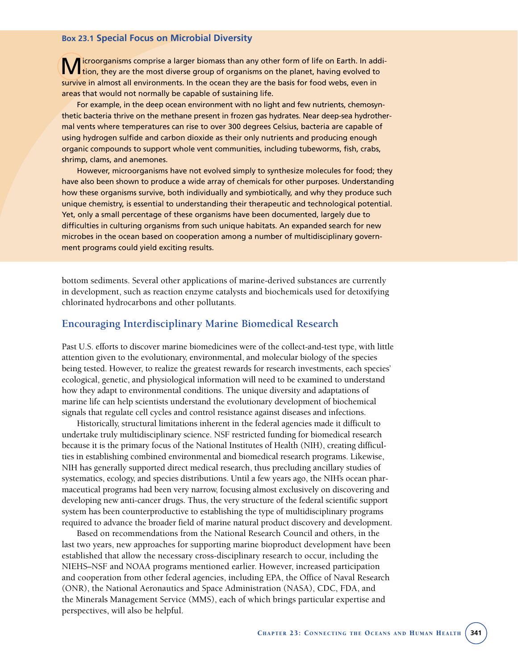#### **Box 23.1 Special Focus on Microbial Diversity**

icroorganisms comprise a larger biomass than any other form of life on Earth. In addition, they are the most diverse group of organisms on the planet, having evolved to survive in almost all environments. In the ocean they are the basis for food webs, even in areas that would not normally be capable of sustaining life.

For example, in the deep ocean environment with no light and few nutrients, chemosynthetic bacteria thrive on the methane present in frozen gas hydrates. Near deep-sea hydrothermal vents where temperatures can rise to over 300 degrees Celsius, bacteria are capable of using hydrogen sulfide and carbon dioxide as their only nutrients and producing enough organic compounds to support whole vent communities, including tubeworms, fish, crabs, shrimp, clams, and anemones.

However, microorganisms have not evolved simply to synthesize molecules for food; they have also been shown to produce a wide array of chemicals for other purposes. Understanding how these organisms survive, both individually and symbiotically, and why they produce such unique chemistry, is essential to understanding their therapeutic and technological potential. Yet, only a small percentage of these organisms have been documented, largely due to difficulties in culturing organisms from such unique habitats. An expanded search for new microbes in the ocean based on cooperation among a number of multidisciplinary government programs could yield exciting results.

bottom sediments. Several other applications of marine-derived substances are currently in development, such as reaction enzyme catalysts and biochemicals used for detoxifying chlorinated hydrocarbons and other pollutants.

## **Encouraging Interdisciplinary Marine Biomedical Research**

Past U.S. efforts to discover marine biomedicines were of the collect-and-test type, with little attention given to the evolutionary, environmental, and molecular biology of the species being tested. However, to realize the greatest rewards for research investments, each species' ecological, genetic, and physiological information will need to be examined to understand how they adapt to environmental conditions. The unique diversity and adaptations of marine life can help scientists understand the evolutionary development of biochemical signals that regulate cell cycles and control resistance against diseases and infections.

Historically, structural limitations inherent in the federal agencies made it difficult to undertake truly multidisciplinary science. NSF restricted funding for biomedical research because it is the primary focus of the National Institutes of Health (NIH), creating difficulties in establishing combined environmental and biomedical research programs. Likewise, NIH has generally supported direct medical research, thus precluding ancillary studies of systematics, ecology, and species distributions. Until a few years ago, the NIH's ocean pharmaceutical programs had been very narrow, focusing almost exclusively on discovering and developing new anti-cancer drugs. Thus, the very structure of the federal scientific support system has been counterproductive to establishing the type of multidisciplinary programs required to advance the broader field of marine natural product discovery and development.

Based on recommendations from the National Research Council and others, in the last two years, new approaches for supporting marine bioproduct development have been established that allow the necessary cross-disciplinary research to occur, including the NIEHS–NSF and NOAA programs mentioned earlier. However, increased participation and cooperation from other federal agencies, including EPA, the Office of Naval Research (ONR), the National Aeronautics and Space Administration (NASA), CDC, FDA, and the Minerals Management Service (MMS), each of which brings particular expertise and perspectives, will also be helpful.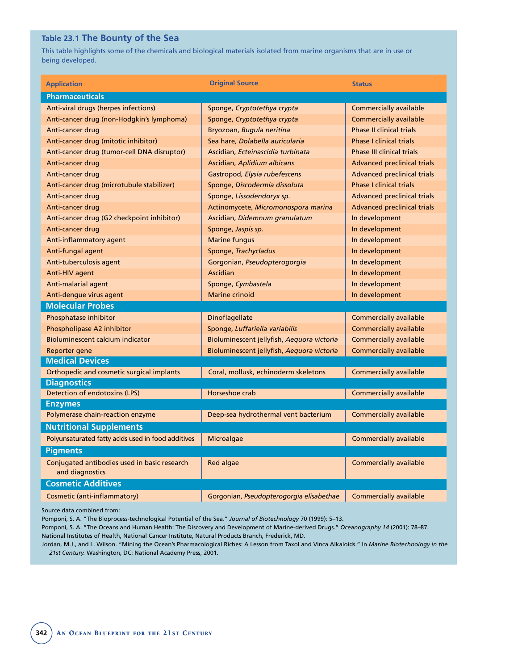# **Table 23.1 The Bounty of the Sea**

This table highlights some of the chemicals and biological materials isolated from marine organisms that are in use or being developed.

| <b>Application</b>                                 | <b>Original Source</b>                     | <b>Status</b>                      |
|----------------------------------------------------|--------------------------------------------|------------------------------------|
| <b>Pharmaceuticals</b>                             |                                            |                                    |
| Anti-viral drugs (herpes infections)               | Sponge, Cryptotethya crypta                | <b>Commercially available</b>      |
| Anti-cancer drug (non-Hodgkin's lymphoma)          | Sponge, Cryptotethya crypta                | <b>Commercially available</b>      |
| Anti-cancer drug                                   | Bryozoan, Bugula neritina                  | <b>Phase II clinical trials</b>    |
| Anti-cancer drug (mitotic inhibitor)               | Sea hare, Dolabella auricularia            | <b>Phase I clinical trials</b>     |
| Anti-cancer drug (tumor-cell DNA disruptor)        | Ascidian, Ecteinascidia turbinata          | <b>Phase III clinical trials</b>   |
| Anti-cancer drug                                   | Ascidian, Aplidium albicans                | <b>Advanced preclinical trials</b> |
| Anti-cancer drug                                   | Gastropod, Elysia rubefescens              | <b>Advanced preclinical trials</b> |
| Anti-cancer drug (microtubule stabilizer)          | Sponge, Discodermia dissoluta              | <b>Phase I clinical trials</b>     |
| Anti-cancer drug                                   | Sponge, Lissodendoryx sp.                  | <b>Advanced preclinical trials</b> |
| Anti-cancer drug                                   | Actinomycete, Micromonospora marina        | <b>Advanced preclinical trials</b> |
| Anti-cancer drug (G2 checkpoint inhibitor)         | Ascidian, Didemnum granulatum              | In development                     |
| Anti-cancer drug                                   | Sponge, Jaspis sp.                         | In development                     |
| Anti-inflammatory agent                            | <b>Marine fungus</b>                       | In development                     |
| Anti-fungal agent                                  | Sponge, Trachycladus                       | In development                     |
| Anti-tuberculosis agent                            | Gorgonian, Pseudopterogorgia               | In development                     |
| Anti-HIV agent                                     | <b>Ascidian</b>                            | In development                     |
| Anti-malarial agent                                | Sponge, Cymbastela                         | In development                     |
| Anti-dengue virus agent                            | <b>Marine crinoid</b>                      | In development                     |
| <b>Molecular Probes</b>                            |                                            |                                    |
| Phosphatase inhibitor                              | Dinoflagellate                             | <b>Commercially available</b>      |
| Phospholipase A2 inhibitor                         | Sponge, Luffariella variabilis             | <b>Commercially available</b>      |
| <b>Bioluminescent calcium indicator</b>            | Bioluminescent jellyfish, Aequora victoria | <b>Commercially available</b>      |
| Reporter gene                                      | Bioluminescent jellyfish, Aequora victoria | <b>Commercially available</b>      |
| <b>Medical Devices</b>                             |                                            |                                    |
| Orthopedic and cosmetic surgical implants          | Coral, mollusk, echinoderm skeletons       | <b>Commercially available</b>      |
| <b>Diagnostics</b>                                 |                                            |                                    |
| Detection of endotoxins (LPS)                      | Horseshoe crab                             | Commercially available             |
| <b>Enzymes</b>                                     |                                            |                                    |
| Polymerase chain-reaction enzyme                   | Deep-sea hydrothermal vent bacterium       | <b>Commercially available</b>      |
| <b>Nutritional Supplements</b>                     |                                            |                                    |
| Polyunsaturated fatty acids used in food additives | Microalgae                                 | <b>Commercially available</b>      |
| <b>Pigments</b>                                    |                                            |                                    |
| Conjugated antibodies used in basic research       | Red algae                                  | Commercially available             |
| and diagnostics                                    |                                            |                                    |
| <b>Cosmetic Additives</b>                          |                                            |                                    |
| Cosmetic (anti-inflammatory)                       | Gorgonian, Pseudopterogorgia elisabethae   | <b>Commercially available</b>      |

Source data combined from:

Pomponi, S. A. "The Bioprocess-technological Potential of the Sea." *Journal of Biotechnology* 70 (1999): 5–13.

Pomponi, S. A. "The Oceans and Human Health: The Discovery and Development of Marine-derived Drugs." *Oceanography 14* (2001): 78–87. National Institutes of Health, National Cancer Institute, Natural Products Branch, Frederick, MD.

Jordan, M.J., and L. Wilson. "Mining the Ocean's Pharmacological Riches: A Lesson from Taxol and Vinca Alkaloids." In *Marine Biotechnology in the 21st Century.* Washington, DC: National Academy Press, 2001.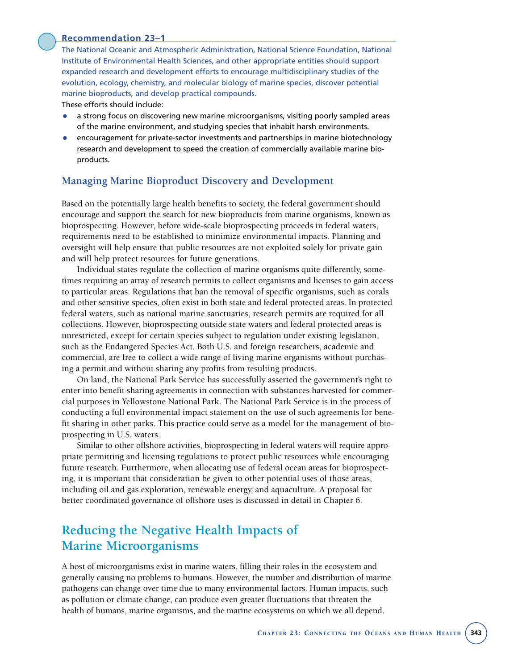#### **Recommendation 23–1**

The National Oceanic and Atmospheric Administration, National Science Foundation, National Institute of Environmental Health Sciences, and other appropriate entities should support expanded research and development efforts to encourage multidisciplinary studies of the evolution, ecology, chemistry, and molecular biology of marine species, discover potential marine bioproducts, and develop practical compounds.

These efforts should include:

- a strong focus on discovering new marine microorganisms, visiting poorly sampled areas of the marine environment, and studying species that inhabit harsh environments.
- encouragement for private-sector investments and partnerships in marine biotechnology research and development to speed the creation of commercially available marine bioproducts.

# **Managing Marine Bioproduct Discovery and Development**

Based on the potentially large health benefits to society, the federal government should encourage and support the search for new bioproducts from marine organisms, known as bioprospecting. However, before wide-scale bioprospecting proceeds in federal waters, requirements need to be established to minimize environmental impacts. Planning and oversight will help ensure that public resources are not exploited solely for private gain and will help protect resources for future generations.

Individual states regulate the collection of marine organisms quite differently, sometimes requiring an array of research permits to collect organisms and licenses to gain access to particular areas. Regulations that ban the removal of specific organisms, such as corals and other sensitive species, often exist in both state and federal protected areas. In protected federal waters, such as national marine sanctuaries, research permits are required for all collections. However, bioprospecting outside state waters and federal protected areas is unrestricted, except for certain species subject to regulation under existing legislation, such as the Endangered Species Act. Both U.S. and foreign researchers, academic and commercial, are free to collect a wide range of living marine organisms without purchasing a permit and without sharing any profits from resulting products.

On land, the National Park Service has successfully asserted the government's right to enter into benefit sharing agreements in connection with substances harvested for commercial purposes in Yellowstone National Park. The National Park Service is in the process of conducting a full environmental impact statement on the use of such agreements for benefit sharing in other parks. This practice could serve as a model for the management of bioprospecting in U.S. waters.

Similar to other offshore activities, bioprospecting in federal waters will require appropriate permitting and licensing regulations to protect public resources while encouraging future research. Furthermore, when allocating use of federal ocean areas for bioprospecting, it is important that consideration be given to other potential uses of those areas, including oil and gas exploration, renewable energy, and aquaculture. A proposal for better coordinated governance of offshore uses is discussed in detail in Chapter 6.

# **Reducing the Negative Health Impacts of Marine Microorganisms**

A host of microorganisms exist in marine waters, filling their roles in the ecosystem and generally causing no problems to humans. However, the number and distribution of marine pathogens can change over time due to many environmental factors. Human impacts, such as pollution or climate change, can produce even greater fluctuations that threaten the health of humans, marine organisms, and the marine ecosystems on which we all depend.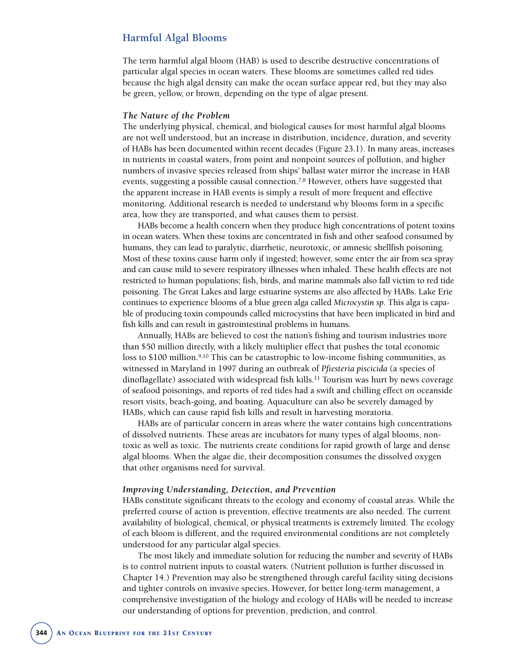# **Harmful Algal Blooms**

The term harmful algal bloom (HAB) is used to describe destructive concentrations of particular algal species in ocean waters. These blooms are sometimes called red tides because the high algal density can make the ocean surface appear red, but they may also be green, yellow, or brown, depending on the type of algae present.

#### *The Nature of the Problem*

The underlying physical, chemical, and biological causes for most harmful algal blooms are not well understood, but an increase in distribution, incidence, duration, and severity of HABs has been documented within recent decades (Figure 23.1). In many areas, increases in nutrients in coastal waters, from point and nonpoint sources of pollution, and higher numbers of invasive species released from ships' ballast water mirror the increase in HAB events, suggesting a possible causal connection.<sup>7,8</sup> However, others have suggested that the apparent increase in HAB events is simply a result of more frequent and effective monitoring. Additional research is needed to understand why blooms form in a specific area, how they are transported, and what causes them to persist.

HABs become a health concern when they produce high concentrations of potent toxins in ocean waters. When these toxins are concentrated in fish and other seafood consumed by humans, they can lead to paralytic, diarrhetic, neurotoxic, or amnesic shellfish poisoning. Most of these toxins cause harm only if ingested; however, some enter the air from sea spray and can cause mild to severe respiratory illnesses when inhaled. These health effects are not restricted to human populations; fish, birds, and marine mammals also fall victim to red tide poisoning. The Great Lakes and large estuarine systems are also affected by HABs. Lake Erie continues to experience blooms of a blue green alga called *Microcystin sp*. This alga is capable of producing toxin compounds called microcystins that have been implicated in bird and fish kills and can result in gastrointestinal problems in humans.

Annually, HABs are believed to cost the nation's fishing and tourism industries more than \$50 million directly, with a likely multiplier effect that pushes the total economic loss to \$100 million.<sup>9,10</sup> This can be catastrophic to low-income fishing communities, as witnessed in Maryland in 1997 during an outbreak of *Pfiesteria piscicida* (a species of dinoflagellate) associated with widespread fish kills.<sup>11</sup> Tourism was hurt by news coverage of seafood poisonings, and reports of red tides had a swift and chilling effect on oceanside resort visits, beach-going, and boating. Aquaculture can also be severely damaged by HABs, which can cause rapid fish kills and result in harvesting moratoria.

HABs are of particular concern in areas where the water contains high concentrations of dissolved nutrients. These areas are incubators for many types of algal blooms, nontoxic as well as toxic. The nutrients create conditions for rapid growth of large and dense algal blooms. When the algae die, their decomposition consumes the dissolved oxygen that other organisms need for survival.

#### *Improving Understanding, Detection, and Prevention*

HABs constitute significant threats to the ecology and economy of coastal areas. While the preferred course of action is prevention, effective treatments are also needed. The current availability of biological, chemical, or physical treatments is extremely limited. The ecology of each bloom is different, and the required environmental conditions are not completely understood for any particular algal species.

The most likely and immediate solution for reducing the number and severity of HABs is to control nutrient inputs to coastal waters. (Nutrient pollution is further discussed in Chapter 14.) Prevention may also be strengthened through careful facility siting decisions and tighter controls on invasive species. However, for better long-term management, a comprehensive investigation of the biology and ecology of HABs will be needed to increase our understanding of options for prevention, prediction, and control.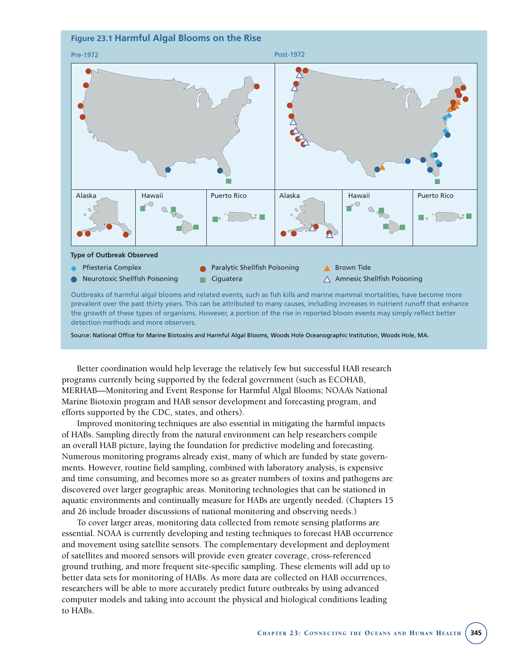

detection methods and more observers.

Source: National Office for Marine Biotoxins and Harmful Algal Blooms, Woods Hole Oceanographic Institution, Woods Hole, MA.

Better coordination would help leverage the relatively few but successful HAB research programs currently being supported by the federal government (such as ECOHAB, MERHAB—Monitoring and Event Response for Harmful Algal Blooms; NOAA's National Marine Biotoxin program and HAB sensor development and forecasting program, and efforts supported by the CDC, states, and others).

Improved monitoring techniques are also essential in mitigating the harmful impacts of HABs. Sampling directly from the natural environment can help researchers compile an overall HAB picture, laying the foundation for predictive modeling and forecasting. Numerous monitoring programs already exist, many of which are funded by state governments. However, routine field sampling, combined with laboratory analysis, is expensive and time consuming, and becomes more so as greater numbers of toxins and pathogens are discovered over larger geographic areas. Monitoring technologies that can be stationed in aquatic environments and continually measure for HABs are urgently needed. (Chapters 15 and 26 include broader discussions of national monitoring and observing needs.)

To cover larger areas, monitoring data collected from remote sensing platforms are essential. NOAA is currently developing and testing techniques to forecast HAB occurrence and movement using satellite sensors. The complementary development and deployment of satellites and moored sensors will provide even greater coverage, cross-referenced ground truthing, and more frequent site-specific sampling. These elements will add up to better data sets for monitoring of HABs. As more data are collected on HAB occurrences, researchers will be able to more accurately predict future outbreaks by using advanced computer models and taking into account the physical and biological conditions leading to HABs.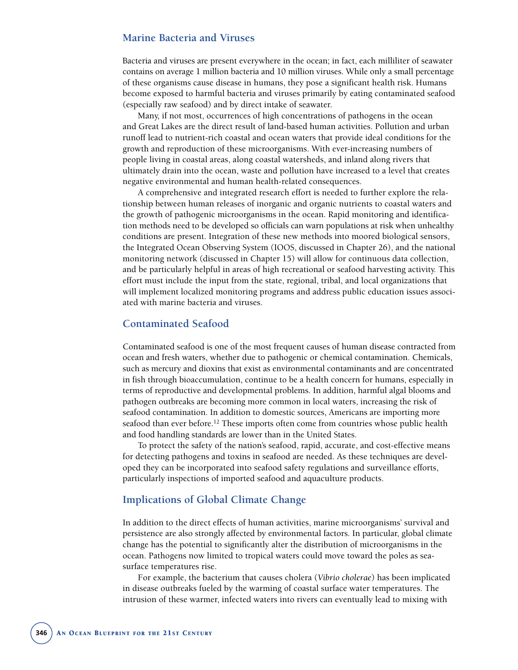## **Marine Bacteria and Viruses**

Bacteria and viruses are present everywhere in the ocean; in fact, each milliliter of seawater contains on average 1 million bacteria and 10 million viruses. While only a small percentage of these organisms cause disease in humans, they pose a significant health risk. Humans become exposed to harmful bacteria and viruses primarily by eating contaminated seafood (especially raw seafood) and by direct intake of seawater.

Many, if not most, occurrences of high concentrations of pathogens in the ocean and Great Lakes are the direct result of land-based human activities. Pollution and urban runoff lead to nutrient-rich coastal and ocean waters that provide ideal conditions for the growth and reproduction of these microorganisms. With ever-increasing numbers of people living in coastal areas, along coastal watersheds, and inland along rivers that ultimately drain into the ocean, waste and pollution have increased to a level that creates negative environmental and human health-related consequences.

A comprehensive and integrated research effort is needed to further explore the relationship between human releases of inorganic and organic nutrients to coastal waters and the growth of pathogenic microorganisms in the ocean. Rapid monitoring and identification methods need to be developed so officials can warn populations at risk when unhealthy conditions are present. Integration of these new methods into moored biological sensors, the Integrated Ocean Observing System (IOOS, discussed in Chapter 26), and the national monitoring network (discussed in Chapter 15) will allow for continuous data collection, and be particularly helpful in areas of high recreational or seafood harvesting activity. This effort must include the input from the state, regional, tribal, and local organizations that will implement localized monitoring programs and address public education issues associated with marine bacteria and viruses.

## **Contaminated Seafood**

Contaminated seafood is one of the most frequent causes of human disease contracted from ocean and fresh waters, whether due to pathogenic or chemical contamination. Chemicals, such as mercury and dioxins that exist as environmental contaminants and are concentrated in fish through bioaccumulation, continue to be a health concern for humans, especially in terms of reproductive and developmental problems. In addition, harmful algal blooms and pathogen outbreaks are becoming more common in local waters, increasing the risk of seafood contamination. In addition to domestic sources, Americans are importing more seafood than ever before.<sup>12</sup> These imports often come from countries whose public health and food handling standards are lower than in the United States.

To protect the safety of the nation's seafood, rapid, accurate, and cost-effective means for detecting pathogens and toxins in seafood are needed. As these techniques are developed they can be incorporated into seafood safety regulations and surveillance efforts, particularly inspections of imported seafood and aquaculture products.

# **Implications of Global Climate Change**

In addition to the direct effects of human activities, marine microorganisms' survival and persistence are also strongly affected by environmental factors. In particular, global climate change has the potential to significantly alter the distribution of microorganisms in the ocean. Pathogens now limited to tropical waters could move toward the poles as seasurface temperatures rise.

For example, the bacterium that causes cholera (*Vibrio cholerae*) has been implicated in disease outbreaks fueled by the warming of coastal surface water temperatures. The intrusion of these warmer, infected waters into rivers can eventually lead to mixing with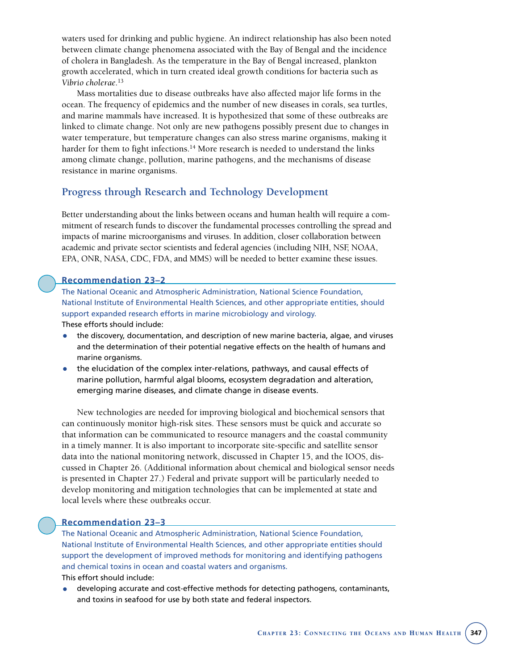waters used for drinking and public hygiene. An indirect relationship has also been noted between climate change phenomena associated with the Bay of Bengal and the incidence of cholera in Bangladesh. As the temperature in the Bay of Bengal increased, plankton growth accelerated, which in turn created ideal growth conditions for bacteria such as *Vibrio cholerae*. 13

Mass mortalities due to disease outbreaks have also affected major life forms in the ocean. The frequency of epidemics and the number of new diseases in corals, sea turtles, and marine mammals have increased. It is hypothesized that some of these outbreaks are linked to climate change. Not only are new pathogens possibly present due to changes in water temperature, but temperature changes can also stress marine organisms, making it harder for them to fight infections.<sup>14</sup> More research is needed to understand the links among climate change, pollution, marine pathogens, and the mechanisms of disease resistance in marine organisms.

# **Progress through Research and Technology Development**

Better understanding about the links between oceans and human health will require a commitment of research funds to discover the fundamental processes controlling the spread and impacts of marine microorganisms and viruses. In addition, closer collaboration between academic and private sector scientists and federal agencies (including NIH, NSF, NOAA, EPA, ONR, NASA, CDC, FDA, and MMS) will be needed to better examine these issues.

#### **Recommendation 23–2**

The National Oceanic and Atmospheric Administration, National Science Foundation, National Institute of Environmental Health Sciences, and other appropriate entities, should support expanded research efforts in marine microbiology and virology. These efforts should include:

• the discovery, documentation, and description of new marine bacteria, algae, and viruses

- and the determination of their potential negative effects on the health of humans and marine organisms.
- the elucidation of the complex inter-relations, pathways, and causal effects of marine pollution, harmful algal blooms, ecosystem degradation and alteration, emerging marine diseases, and climate change in disease events.

New technologies are needed for improving biological and biochemical sensors that can continuously monitor high-risk sites. These sensors must be quick and accurate so that information can be communicated to resource managers and the coastal community in a timely manner. It is also important to incorporate site-specific and satellite sensor data into the national monitoring network, discussed in Chapter 15, and the IOOS, discussed in Chapter 26. (Additional information about chemical and biological sensor needs is presented in Chapter 27.) Federal and private support will be particularly needed to develop monitoring and mitigation technologies that can be implemented at state and local levels where these outbreaks occur.

## **Recommendation 23–3**

The National Oceanic and Atmospheric Administration, National Science Foundation, National Institute of Environmental Health Sciences, and other appropriate entities should support the development of improved methods for monitoring and identifying pathogens and chemical toxins in ocean and coastal waters and organisms.

This effort should include:

• developing accurate and cost-effective methods for detecting pathogens, contaminants, and toxins in seafood for use by both state and federal inspectors.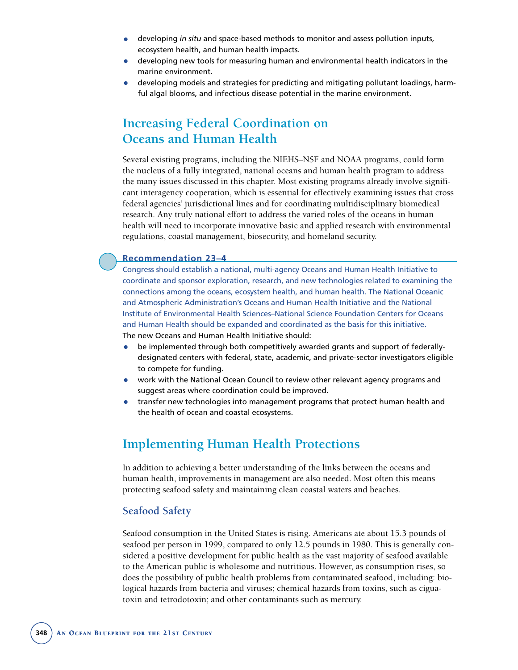- developing *in situ* and space-based methods to monitor and assess pollution inputs, ecosystem health, and human health impacts.
- developing new tools for measuring human and environmental health indicators in the marine environment.
- developing models and strategies for predicting and mitigating pollutant loadings, harmful algal blooms, and infectious disease potential in the marine environment.

# **Increasing Federal Coordination on Oceans and Human Health**

Several existing programs, including the NIEHS–NSF and NOAA programs, could form the nucleus of a fully integrated, national oceans and human health program to address the many issues discussed in this chapter. Most existing programs already involve significant interagency cooperation, which is essential for effectively examining issues that cross federal agencies' jurisdictional lines and for coordinating multidisciplinary biomedical research. Any truly national effort to address the varied roles of the oceans in human health will need to incorporate innovative basic and applied research with environmental regulations, coastal management, biosecurity, and homeland security.

#### **Recommendation 23–4**

Congress should establish a national, multi-agency Oceans and Human Health Initiative to coordinate and sponsor exploration, research, and new technologies related to examining the connections among the oceans, ecosystem health, and human health. The National Oceanic and Atmospheric Administration's Oceans and Human Health Initiative and the National Institute of Environmental Health Sciences–National Science Foundation Centers for Oceans and Human Health should be expanded and coordinated as the basis for this initiative. The new Oceans and Human Health Initiative should:

- be implemented through both competitively awarded grants and support of federallydesignated centers with federal, state, academic, and private-sector investigators eligible to compete for funding.
- work with the National Ocean Council to review other relevant agency programs and suggest areas where coordination could be improved.
- transfer new technologies into management programs that protect human health and the health of ocean and coastal ecosystems.

# **Implementing Human Health Protections**

In addition to achieving a better understanding of the links between the oceans and human health, improvements in management are also needed. Most often this means protecting seafood safety and maintaining clean coastal waters and beaches.

## **Seafood Safety**

Seafood consumption in the United States is rising. Americans ate about 15.3 pounds of seafood per person in 1999, compared to only 12.5 pounds in 1980. This is generally considered a positive development for public health as the vast majority of seafood available to the American public is wholesome and nutritious. However, as consumption rises, so does the possibility of public health problems from contaminated seafood, including: biological hazards from bacteria and viruses; chemical hazards from toxins, such as ciguatoxin and tetrodotoxin; and other contaminants such as mercury.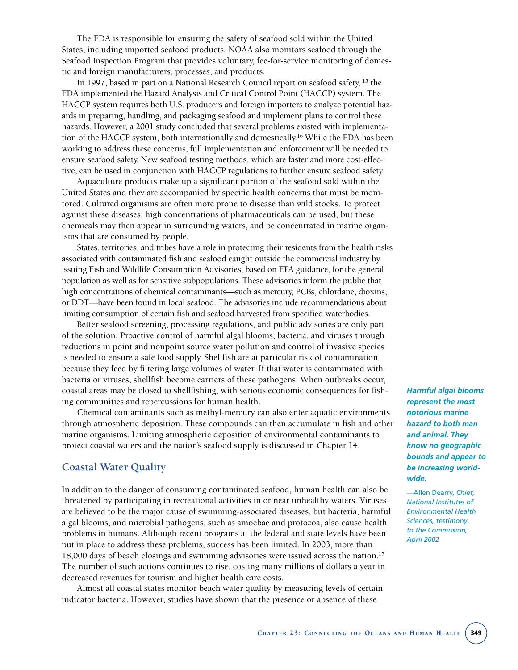The FDA is responsible for ensuring the safety of seafood sold within the United States, including imported seafood products. NOAA also monitors seafood through the Seafood Inspection Program that provides voluntary, fee-for-service monitoring of domestic and foreign manufacturers, processes, and products.

In 1997, based in part on a National Research Council report on seafood safety, <sup>15</sup> the FDA implemented the Hazard Analysis and Critical Control Point (HACCP) system. The HACCP system requires both U.S. producers and foreign importers to analyze potential hazards in preparing, handling, and packaging seafood and implement plans to control these hazards. However, a 2001 study concluded that several problems existed with implementation of the HACCP system, both internationally and domestically.<sup>16</sup> While the FDA has been working to address these concerns, full implementation and enforcement will be needed to ensure seafood safety. New seafood testing methods, which are faster and more cost-effective, can be used in conjunction with HACCP regulations to further ensure seafood safety.

Aquaculture products make up a significant portion of the seafood sold within the United States and they are accompanied by specific health concerns that must be monitored. Cultured organisms are often more prone to disease than wild stocks. To protect against these diseases, high concentrations of pharmaceuticals can be used, but these chemicals may then appear in surrounding waters, and be concentrated in marine organisms that are consumed by people.

States, territories, and tribes have a role in protecting their residents from the health risks associated with contaminated fish and seafood caught outside the commercial industry by issuing Fish and Wildlife Consumption Advisories, based on EPA guidance, for the general population as well as for sensitive subpopulations. These advisories inform the public that high concentrations of chemical contaminants—such as mercury, PCBs, chlordane, dioxins, or DDT—have been found in local seafood. The advisories include recommendations about limiting consumption of certain fish and seafood harvested from specified waterbodies.

Better seafood screening, processing regulations, and public advisories are only part of the solution. Proactive control of harmful algal blooms, bacteria, and viruses through reductions in point and nonpoint source water pollution and control of invasive species is needed to ensure a safe food supply. Shellfish are at particular risk of contamination because they feed by filtering large volumes of water. If that water is contaminated with bacteria or viruses, shellfish become carriers of these pathogens. When outbreaks occur, coastal areas may be closed to shellfishing, with serious economic consequences for fishing communities and repercussions for human health.

Chemical contaminants such as methyl-mercury can also enter aquatic environments through atmospheric deposition. These compounds can then accumulate in fish and other marine organisms. Limiting atmospheric deposition of environmental contaminants to protect coastal waters and the nation's seafood supply is discussed in Chapter 14.

# **Coastal Water Quality**

In addition to the danger of consuming contaminated seafood, human health can also be threatened by participating in recreational activities in or near unhealthy waters. Viruses are believed to be the major cause of swimming-associated diseases, but bacteria, harmful algal blooms, and microbial pathogens, such as amoebae and protozoa, also cause health problems in humans. Although recent programs at the federal and state levels have been put in place to address these problems, success has been limited. In 2003, more than 18,000 days of beach closings and swimming advisories were issued across the nation.17 The number of such actions continues to rise, costing many millions of dollars a year in decreased revenues for tourism and higher health care costs.

Almost all coastal states monitor beach water quality by measuring levels of certain indicator bacteria. However, studies have shown that the presence or absence of these

*Harmful algal blooms represent the most notorious marine hazard to both man and animal. They know no geographic bounds and appear to be increasing worldwide.* 

—Allen Dearry, *Chief, National Institutes of Environmental Health Sciences, testimony to the Commission, April 2002*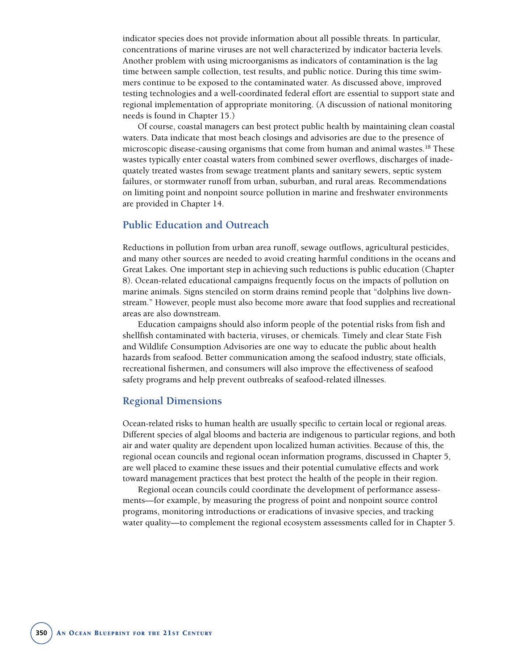indicator species does not provide information about all possible threats. In particular, concentrations of marine viruses are not well characterized by indicator bacteria levels. Another problem with using microorganisms as indicators of contamination is the lag time between sample collection, test results, and public notice. During this time swimmers continue to be exposed to the contaminated water. As discussed above, improved testing technologies and a well-coordinated federal effort are essential to support state and regional implementation of appropriate monitoring. (A discussion of national monitoring needs is found in Chapter 15.)

Of course, coastal managers can best protect public health by maintaining clean coastal waters. Data indicate that most beach closings and advisories are due to the presence of microscopic disease-causing organisms that come from human and animal wastes.18 These wastes typically enter coastal waters from combined sewer overflows, discharges of inadequately treated wastes from sewage treatment plants and sanitary sewers, septic system failures, or stormwater runoff from urban, suburban, and rural areas. Recommendations on limiting point and nonpoint source pollution in marine and freshwater environments are provided in Chapter 14.

# **Public Education and Outreach**

Reductions in pollution from urban area runoff, sewage outflows, agricultural pesticides, and many other sources are needed to avoid creating harmful conditions in the oceans and Great Lakes. One important step in achieving such reductions is public education (Chapter 8). Ocean-related educational campaigns frequently focus on the impacts of pollution on marine animals. Signs stenciled on storm drains remind people that "dolphins live downstream." However, people must also become more aware that food supplies and recreational areas are also downstream.

Education campaigns should also inform people of the potential risks from fish and shellfish contaminated with bacteria, viruses, or chemicals. Timely and clear State Fish and Wildlife Consumption Advisories are one way to educate the public about health hazards from seafood. Better communication among the seafood industry, state officials, recreational fishermen, and consumers will also improve the effectiveness of seafood safety programs and help prevent outbreaks of seafood-related illnesses.

## **Regional Dimensions**

Ocean-related risks to human health are usually specific to certain local or regional areas. Different species of algal blooms and bacteria are indigenous to particular regions, and both air and water quality are dependent upon localized human activities. Because of this, the regional ocean councils and regional ocean information programs, discussed in Chapter 5, are well placed to examine these issues and their potential cumulative effects and work toward management practices that best protect the health of the people in their region.

Regional ocean councils could coordinate the development of performance assessments—for example, by measuring the progress of point and nonpoint source control programs, monitoring introductions or eradications of invasive species, and tracking water quality—to complement the regional ecosystem assessments called for in Chapter 5.